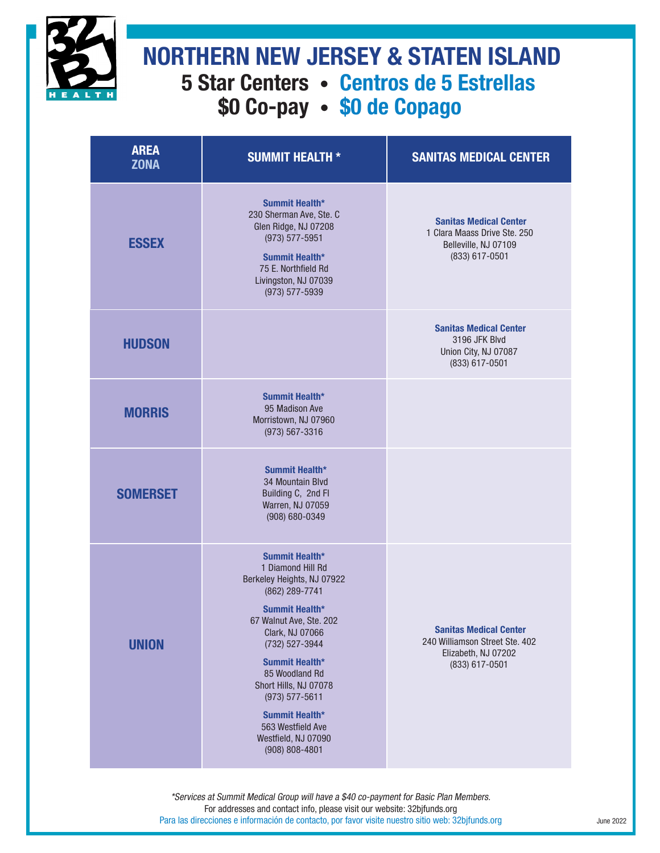

## **5 Star Centers • Centros de 5 Estrellas \$0 Co-pay • \$0 de Copago NORTHERN NEW JERSEY & STATEN ISLAND**

| <b>AREA</b><br><b>ZONA</b> | <b>SUMMIT HEALTH *</b>                                                                                                                                                                                                                                                                                                                       | <b>SANITAS MEDICAL CENTER</b>                                                                            |
|----------------------------|----------------------------------------------------------------------------------------------------------------------------------------------------------------------------------------------------------------------------------------------------------------------------------------------------------------------------------------------|----------------------------------------------------------------------------------------------------------|
| <b>ESSEX</b>               | Summit Health*<br>230 Sherman Ave, Ste. C<br>Glen Ridge, NJ 07208<br>(973) 577-5951<br>Summit Health*<br>75 E. Northfield Rd<br>Livingston, NJ 07039<br>(973) 577-5939                                                                                                                                                                       | <b>Sanitas Medical Center</b><br>1 Clara Maass Drive Ste. 250<br>Belleville, NJ 07109<br>(833) 617-0501  |
| <b>HUDSON</b>              |                                                                                                                                                                                                                                                                                                                                              | <b>Sanitas Medical Center</b><br>3196 JFK Blvd<br>Union City, NJ 07087<br>(833) 617-0501                 |
| <b>MORRIS</b>              | Summit Health*<br>95 Madison Ave<br>Morristown, NJ 07960<br>$(973) 567 - 3316$                                                                                                                                                                                                                                                               |                                                                                                          |
| <b>SOMERSET</b>            | Summit Health*<br>34 Mountain Blvd<br>Building C, 2nd Fl<br>Warren, NJ 07059<br>(908) 680-0349                                                                                                                                                                                                                                               |                                                                                                          |
| <b>UNION</b>               | Summit Health*<br>1 Diamond Hill Rd<br>Berkeley Heights, NJ 07922<br>(862) 289-7741<br>Summit Health*<br>67 Walnut Ave, Ste. 202<br>Clark, NJ 07066<br>(732) 527-3944<br>Summit Health*<br>85 Woodland Rd<br>Short Hills, NJ 07078<br>$(973) 577 - 5611$<br>Summit Health*<br>563 Westfield Ave<br>Westfield, NJ 07090<br>$(908) 808 - 4801$ | <b>Sanitas Medical Center</b><br>240 Williamson Street Ste. 402<br>Elizabeth, NJ 07202<br>(833) 617-0501 |

\*Services at Summit Medical Group will have a \$40 co-payment for Basic Plan Members. For addresses and contact info, please visit our website: 32bjfunds.org Para las direcciones e información de contacto, por favor visite nuestro sitio web: 32bjfunds.org